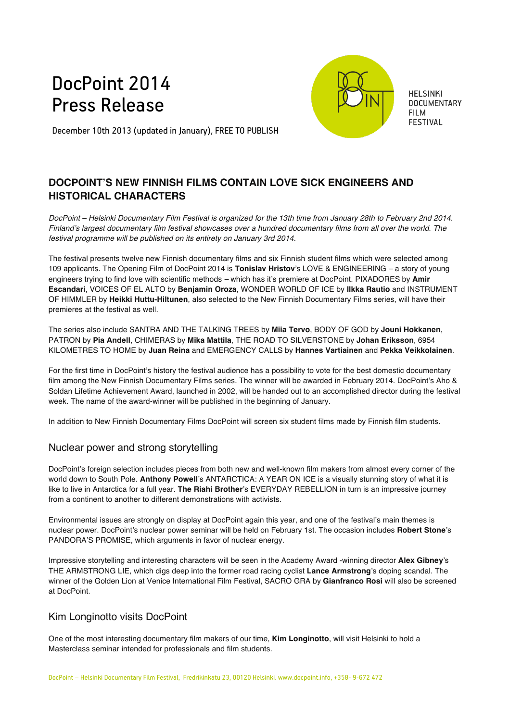# DocPoint 2014 Press Release



**HELSINKI DOCUMENTARY FILM FESTIVAL** 

December 10th 2013 (updated in January), FREE TO PUBLISH

## **DOCPOINT'S NEW FINNISH FILMS CONTAIN LOVE SICK ENGINEERS AND HISTORICAL CHARACTERS**

*DocPoint – Helsinki Documentary Film Festival is organized for the 13th time from January 28th to February 2nd 2014. Finland's largest documentary film festival showcases over a hundred documentary films from all over the world. The festival programme will be published on its entirety on January 3rd 2014.*

The festival presents twelve new Finnish documentary films and six Finnish student films which were selected among 109 applicants. The Opening Film of DocPoint 2014 is **Tonislav Hristov**'s LOVE & ENGINEERING *–* a story of young engineers trying to find love with scientific methods *–* which has it's premiere at DocPoint. PIXADORES by **Amir Escandari**, VOICES OF EL ALTO by **Benjamin Oroza**, WONDER WORLD OF ICE by **Ilkka Rautio** and INSTRUMENT OF HIMMLER by **Heikki Huttu-Hiltunen**, also selected to the New Finnish Documentary Films series, will have their premieres at the festival as well.

The series also include SANTRA AND THE TALKING TREES by **Miia Tervo**, BODY OF GOD by **Jouni Hokkanen**, PATRON by **Pia Andell**, CHIMERAS by **Mika Mattila**, THE ROAD TO SILVERSTONE by **Johan Eriksson**, 6954 KILOMETRES TO HOME by **Juan Reina** and EMERGENCY CALLS by **Hannes Vartiainen** and **Pekka Veikkolainen**.

For the first time in DocPoint's history the festival audience has a possibility to vote for the best domestic documentary film among the New Finnish Documentary Films series. The winner will be awarded in February 2014. DocPoint's Aho & Soldan Lifetime Achievement Award, launched in 2002, will be handed out to an accomplished director during the festival week. The name of the award-winner will be published in the beginning of January.

In addition to New Finnish Documentary Films DocPoint will screen six student films made by Finnish film students.

### Nuclear power and strong storytelling

DocPoint's foreign selection includes pieces from both new and well-known film makers from almost every corner of the world down to South Pole. **Anthony Powell**'s ANTARCTICA: A YEAR ON ICE is a visually stunning story of what it is like to live in Antarctica for a full year. **The Riahi Brother**'s EVERYDAY REBELLION in turn is an impressive journey from a continent to another to different demonstrations with activists.

Environmental issues are strongly on display at DocPoint again this year, and one of the festival's main themes is nuclear power. DocPoint's nuclear power seminar will be held on February 1st. The occasion includes **Robert Stone**'s PANDORA'S PROMISE, which arguments in favor of nuclear energy.

Impressive storytelling and interesting characters will be seen in the Academy Award -winning director **Alex Gibney**'s THE ARMSTRONG LIE, which digs deep into the former road racing cyclist **Lance Armstrong**'s doping scandal. The winner of the Golden Lion at Venice International Film Festival, SACRO GRA by **Gianfranco Rosi** will also be screened at DocPoint.

### Kim Longinotto visits DocPoint

One of the most interesting documentary film makers of our time, **Kim Longinotto**, will visit Helsinki to hold a Masterclass seminar intended for professionals and film students.